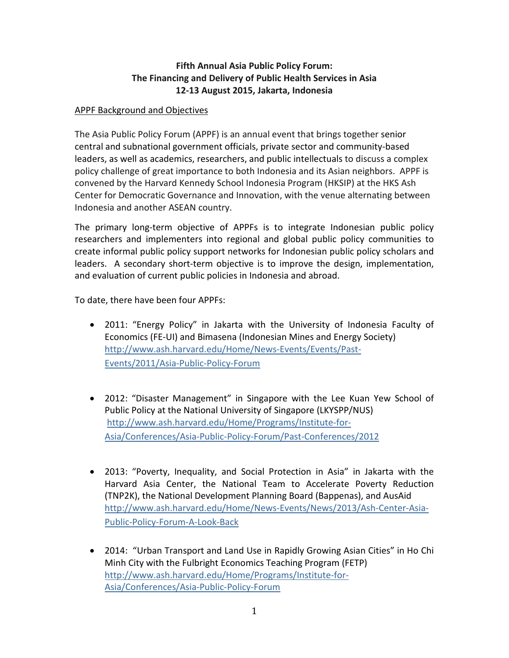# **Fifth Annual Asia Public Policy Forum: The Financing and Delivery of Public Health Services in Asia 12-13 August 2015, Jakarta, Indonesia**

## APPF Background and Objectives

The Asia Public Policy Forum (APPF) is an annual event that brings together senior central and subnational government officials, private sector and community-based leaders, as well as academics, researchers, and public intellectuals to discuss a complex policy challenge of great importance to both Indonesia and its Asian neighbors. APPF is convened by the Harvard Kennedy School Indonesia Program (HKSIP) at the HKS Ash Center for Democratic Governance and Innovation, with the venue alternating between Indonesia and another ASEAN country.

The primary long-term objective of APPFs is to integrate Indonesian public policy researchers and implementers into regional and global public policy communities to create informal public policy support networks for Indonesian public policy scholars and leaders. A secondary short-term objective is to improve the design, implementation, and evaluation of current public policies in Indonesia and abroad.

To date, there have been four APPFs:

- 2011: "Energy Policy" in Jakarta with the University of Indonesia Faculty of Economics (FE-UI) and Bimasena (Indonesian Mines and Energy Society) [http://www.ash.harvard.edu/Home/News-Events/Events/Past-](http://www.ash.harvard.edu/Home/News-Events/Events/Past-Events/2011/Asia-Public-Policy-Forum)[Events/2011/Asia-Public-Policy-Forum](http://www.ash.harvard.edu/Home/News-Events/Events/Past-Events/2011/Asia-Public-Policy-Forum)
- 2012: "Disaster Management" in Singapore with the Lee Kuan Yew School of Public Policy at the National University of Singapore (LKYSPP/NUS) [http://www.ash.harvard.edu/Home/Programs/Institute-for-](http://www.ash.harvard.edu/Home/Programs/Institute-for-Asia/Conferences/Asia-Public-Policy-Forum/Past-Conferences/2012)[Asia/Conferences/Asia-Public-Policy-Forum/Past-Conferences/2012](http://www.ash.harvard.edu/Home/Programs/Institute-for-Asia/Conferences/Asia-Public-Policy-Forum/Past-Conferences/2012)
- 2013: "Poverty, Inequality, and Social Protection in Asia" in Jakarta with the Harvard Asia Center, the National Team to Accelerate Poverty Reduction (TNP2K), the National Development Planning Board (Bappenas), and AusAid [http://www.ash.harvard.edu/Home/News-Events/News/2013/Ash-Center-Asia-](http://www.ash.harvard.edu/Home/News-Events/News/2013/Ash-Center-Asia-Public-Policy-Forum-A-Look-Back)[Public-Policy-Forum-A-Look-Back](http://www.ash.harvard.edu/Home/News-Events/News/2013/Ash-Center-Asia-Public-Policy-Forum-A-Look-Back)
- 2014: "Urban Transport and Land Use in Rapidly Growing Asian Cities" in Ho Chi Minh City with the Fulbright Economics Teaching Program (FETP) [http://www.ash.harvard.edu/Home/Programs/Institute-for-](http://www.ash.harvard.edu/Home/Programs/Institute-for-Asia/Conferences/Asia-Public-Policy-Forum)[Asia/Conferences/Asia-Public-Policy-Forum](http://www.ash.harvard.edu/Home/Programs/Institute-for-Asia/Conferences/Asia-Public-Policy-Forum)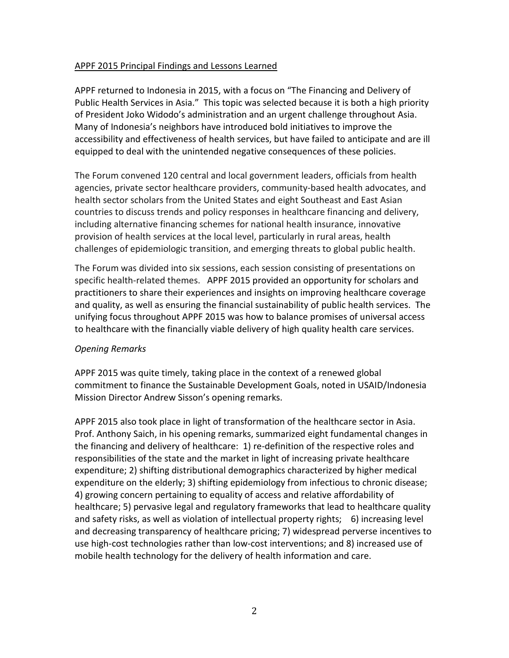## APPF 2015 Principal Findings and Lessons Learned

APPF returned to Indonesia in 2015, with a focus on "The Financing and Delivery of Public Health Services in Asia." This topic was selected because it is both a high priority of President Joko Widodo's administration and an urgent challenge throughout Asia. Many of Indonesia's neighbors have introduced bold initiatives to improve the accessibility and effectiveness of health services, but have failed to anticipate and are ill equipped to deal with the unintended negative consequences of these policies.

The Forum convened 120 central and local government leaders, officials from health agencies, private sector healthcare providers, community-based health advocates, and health sector scholars from the United States and eight Southeast and East Asian countries to discuss trends and policy responses in healthcare financing and delivery, including alternative financing schemes for national health insurance, innovative provision of health services at the local level, particularly in rural areas, health challenges of epidemiologic transition, and emerging threats to global public health.

The Forum was divided into six sessions, each session consisting of presentations on specific health-related themes. APPF 2015 provided an opportunity for scholars and practitioners to share their experiences and insights on improving healthcare coverage and quality, as well as ensuring the financial sustainability of public health services. The unifying focus throughout APPF 2015 was how to balance promises of universal access to healthcare with the financially viable delivery of high quality health care services.

### *Opening Remarks*

APPF 2015 was quite timely, taking place in the context of a renewed global commitment to finance the Sustainable Development Goals, noted in USAID/Indonesia Mission Director Andrew Sisson's opening remarks.

APPF 2015 also took place in light of transformation of the healthcare sector in Asia. Prof. Anthony Saich, in his opening remarks, summarized eight fundamental changes in the financing and delivery of healthcare: 1) re-definition of the respective roles and responsibilities of the state and the market in light of increasing private healthcare expenditure; 2) shifting distributional demographics characterized by higher medical expenditure on the elderly; 3) shifting epidemiology from infectious to chronic disease; 4) growing concern pertaining to equality of access and relative affordability of healthcare; 5) pervasive legal and regulatory frameworks that lead to healthcare quality and safety risks, as well as violation of intellectual property rights; 6) increasing level and decreasing transparency of healthcare pricing; 7) widespread perverse incentives to use high-cost technologies rather than low-cost interventions; and 8) increased use of mobile health technology for the delivery of health information and care.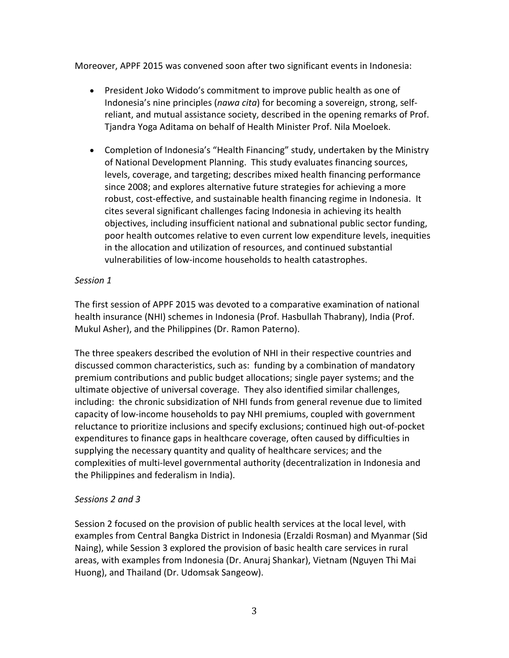Moreover, APPF 2015 was convened soon after two significant events in Indonesia:

- President Joko Widodo's commitment to improve public health as one of Indonesia's nine principles (*nawa cita*) for becoming a sovereign, strong, selfreliant, and mutual assistance society, described in the opening remarks of Prof. Tjandra Yoga Aditama on behalf of Health Minister Prof. Nila Moeloek.
- Completion of Indonesia's "Health Financing" study, undertaken by the Ministry of National Development Planning. This study evaluates financing sources, levels, coverage, and targeting; describes mixed health financing performance since 2008; and explores alternative future strategies for achieving a more robust, cost-effective, and sustainable health financing regime in Indonesia. It cites several significant challenges facing Indonesia in achieving its health objectives, including insufficient national and subnational public sector funding, poor health outcomes relative to even current low expenditure levels, inequities in the allocation and utilization of resources, and continued substantial vulnerabilities of low-income households to health catastrophes.

## *Session 1*

The first session of APPF 2015 was devoted to a comparative examination of national health insurance (NHI) schemes in Indonesia (Prof. Hasbullah Thabrany), India (Prof. Mukul Asher), and the Philippines (Dr. Ramon Paterno).

The three speakers described the evolution of NHI in their respective countries and discussed common characteristics, such as: funding by a combination of mandatory premium contributions and public budget allocations; single payer systems; and the ultimate objective of universal coverage. They also identified similar challenges, including: the chronic subsidization of NHI funds from general revenue due to limited capacity of low-income households to pay NHI premiums, coupled with government reluctance to prioritize inclusions and specify exclusions; continued high out-of-pocket expenditures to finance gaps in healthcare coverage, often caused by difficulties in supplying the necessary quantity and quality of healthcare services; and the complexities of multi-level governmental authority (decentralization in Indonesia and the Philippines and federalism in India).

# *Sessions 2 and 3*

Session 2 focused on the provision of public health services at the local level, with examples from Central Bangka District in Indonesia (Erzaldi Rosman) and Myanmar (Sid Naing), while Session 3 explored the provision of basic health care services in rural areas, with examples from Indonesia (Dr. Anuraj Shankar), Vietnam (Nguyen Thi Mai Huong), and Thailand (Dr. Udomsak Sangeow).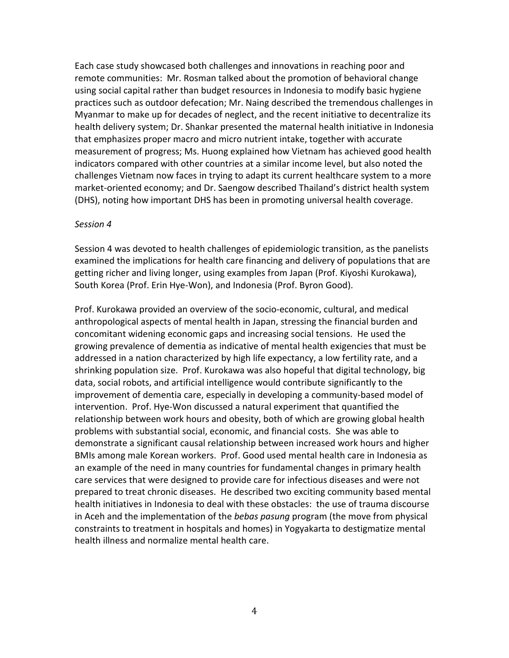Each case study showcased both challenges and innovations in reaching poor and remote communities: Mr. Rosman talked about the promotion of behavioral change using social capital rather than budget resources in Indonesia to modify basic hygiene practices such as outdoor defecation; Mr. Naing described the tremendous challenges in Myanmar to make up for decades of neglect, and the recent initiative to decentralize its health delivery system; Dr. Shankar presented the maternal health initiative in Indonesia that emphasizes proper macro and micro nutrient intake, together with accurate measurement of progress; Ms. Huong explained how Vietnam has achieved good health indicators compared with other countries at a similar income level, but also noted the challenges Vietnam now faces in trying to adapt its current healthcare system to a more market-oriented economy; and Dr. Saengow described Thailand's district health system (DHS), noting how important DHS has been in promoting universal health coverage.

#### *Session 4*

Session 4 was devoted to health challenges of epidemiologic transition, as the panelists examined the implications for health care financing and delivery of populations that are getting richer and living longer, using examples from Japan (Prof. Kiyoshi Kurokawa), South Korea (Prof. Erin Hye-Won), and Indonesia (Prof. Byron Good).

Prof. Kurokawa provided an overview of the socio-economic, cultural, and medical anthropological aspects of mental health in Japan, stressing the financial burden and concomitant widening economic gaps and increasing social tensions. He used the growing prevalence of dementia as indicative of mental health exigencies that must be addressed in a nation characterized by high life expectancy, a low fertility rate, and a shrinking population size. Prof. Kurokawa was also hopeful that digital technology, big data, social robots, and artificial intelligence would contribute significantly to the improvement of dementia care, especially in developing a community-based model of intervention. Prof. Hye-Won discussed a natural experiment that quantified the relationship between work hours and obesity, both of which are growing global health problems with substantial social, economic, and financial costs. She was able to demonstrate a significant causal relationship between increased work hours and higher BMIs among male Korean workers. Prof. Good used mental health care in Indonesia as an example of the need in many countries for fundamental changes in primary health care services that were designed to provide care for infectious diseases and were not prepared to treat chronic diseases. He described two exciting community based mental health initiatives in Indonesia to deal with these obstacles: the use of trauma discourse in Aceh and the implementation of the *bebas pasung* program (the move from physical constraints to treatment in hospitals and homes) in Yogyakarta to destigmatize mental health illness and normalize mental health care.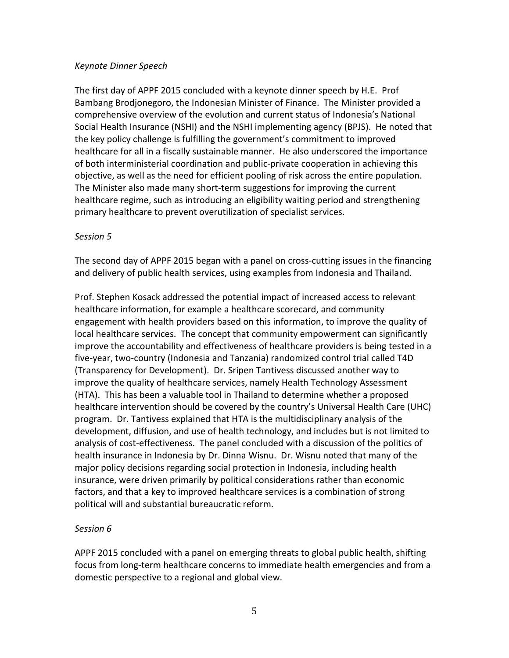### *Keynote Dinner Speech*

The first day of APPF 2015 concluded with a keynote dinner speech by H.E. Prof Bambang Brodjonegoro, the Indonesian Minister of Finance. The Minister provided a comprehensive overview of the evolution and current status of Indonesia's National Social Health Insurance (NSHI) and the NSHI implementing agency (BPJS). He noted that the key policy challenge is fulfilling the government's commitment to improved healthcare for all in a fiscally sustainable manner. He also underscored the importance of both interministerial coordination and public-private cooperation in achieving this objective, as well as the need for efficient pooling of risk across the entire population. The Minister also made many short-term suggestions for improving the current healthcare regime, such as introducing an eligibility waiting period and strengthening primary healthcare to prevent overutilization of specialist services.

#### *Session 5*

The second day of APPF 2015 began with a panel on cross-cutting issues in the financing and delivery of public health services, using examples from Indonesia and Thailand.

Prof. Stephen Kosack addressed the potential impact of increased access to relevant healthcare information, for example a healthcare scorecard, and community engagement with health providers based on this information, to improve the quality of local healthcare services. The concept that community empowerment can significantly improve the accountability and effectiveness of healthcare providers is being tested in a five-year, two-country (Indonesia and Tanzania) randomized control trial called T4D (Transparency for Development). Dr. Sripen Tantivess discussed another way to improve the quality of healthcare services, namely Health Technology Assessment (HTA). This has been a valuable tool in Thailand to determine whether a proposed healthcare intervention should be covered by the country's Universal Health Care (UHC) program. Dr. Tantivess explained that HTA is the multidisciplinary analysis of the development, diffusion, and use of health technology, and includes but is not limited to analysis of cost-effectiveness. The panel concluded with a discussion of the politics of health insurance in Indonesia by Dr. Dinna Wisnu. Dr. Wisnu noted that many of the major policy decisions regarding social protection in Indonesia, including health insurance, were driven primarily by political considerations rather than economic factors, and that a key to improved healthcare services is a combination of strong political will and substantial bureaucratic reform.

### *Session 6*

APPF 2015 concluded with a panel on emerging threats to global public health, shifting focus from long-term healthcare concerns to immediate health emergencies and from a domestic perspective to a regional and global view.